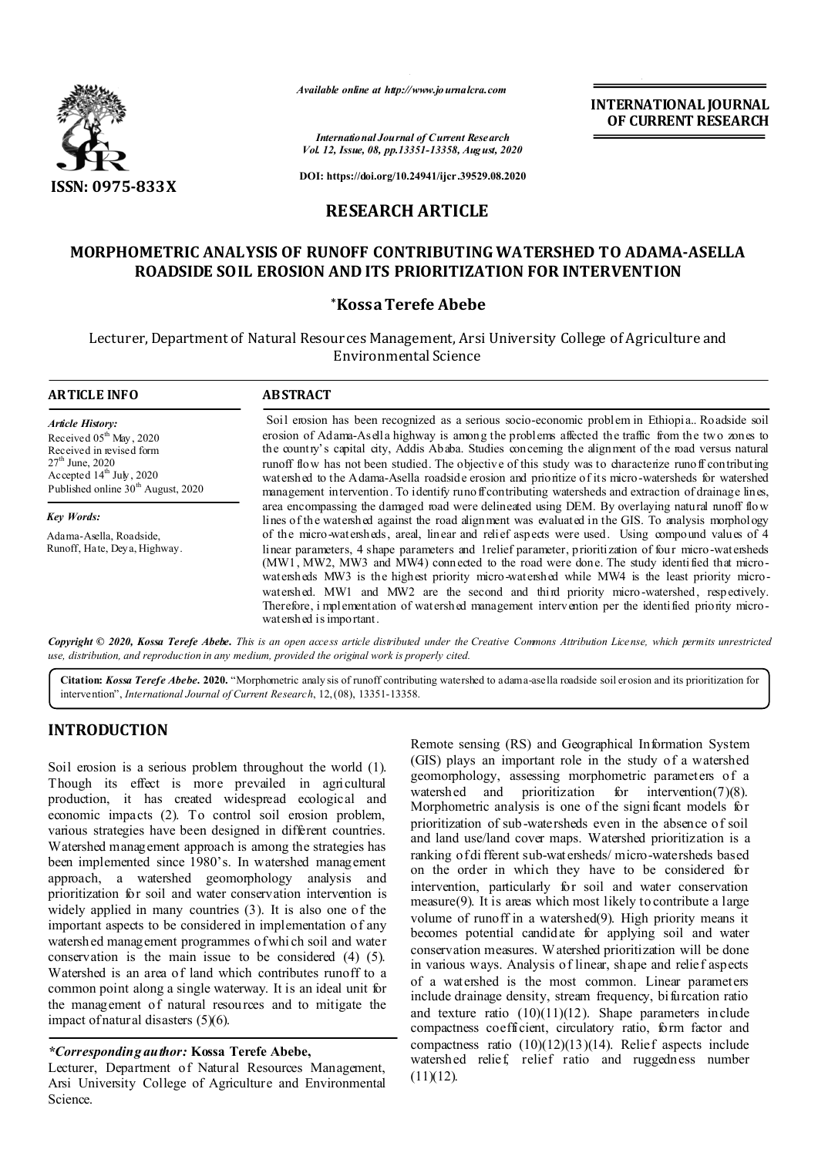

*Available online at http://www.journalcra.com*

**INTERNATIONAL JOURNAL OF CURRENT RESEARCH**

*International Journal of Current Research Vol. 12, Issue, 08, pp.13351-13358, August, 2020*

**DOI: https://doi.org/10.24941/ijcr.39529.08.2020**

# **RESEARCH ARTICLE**

# **MORPHOMETRIC ANALYSIS OF RUNOFF CONTRIBUTING WATERSHED TO ADAMA-ASELLA ROADSIDE SOIL EROSION AND ITS PRIORITIZATION FOR INTERVENTION**

### **\*Kossa Terefe Abebe**

Lecturer, Department of Natural Resources Management, Arsi University College of Agriculture and Environmental Science

| <b>ARTICLE INFO</b>                                                                                                                                                                             | <b>ABSTRACT</b>                                                                                                                                                                                                                                                                                                                                                                                                                                                                                                                                                                                                                      |
|-------------------------------------------------------------------------------------------------------------------------------------------------------------------------------------------------|--------------------------------------------------------------------------------------------------------------------------------------------------------------------------------------------------------------------------------------------------------------------------------------------------------------------------------------------------------------------------------------------------------------------------------------------------------------------------------------------------------------------------------------------------------------------------------------------------------------------------------------|
| <b>Article History:</b><br>Received $05^{\text{th}}$ May, 2020<br>Received in revised form<br>$27th$ June, 2020<br>Accepted $14th$ July, 2020<br>Published online 30 <sup>th</sup> August, 2020 | Soil erosion has been recognized as a serious socio-economic problem in Ethiopia Roadside soil<br>erosion of Adama-Asella highway is among the problems affected the traffic from the two zones to<br>the country's capital city, Addis Ababa. Studies concerning the alignment of the road versus natural<br>runoff flow has not been studied. The objective of this study was to characterize runoff contributing<br>watershed to the Adama-Asella roadside erosion and prioritize of its micro-watersheds for watershed<br>management intervention. To identify runo ff contributing watersheds and extraction of drainage lines, |
| <b>Key Words:</b>                                                                                                                                                                               | area encompassing the damaged road were delineated using DEM. By overlaying natural runoff flow<br>lines of the watershed against the road alignment was evaluated in the GIS. To analysis morphology                                                                                                                                                                                                                                                                                                                                                                                                                                |
| Adama-Asella, Roadside,<br>Runoff, Hate, Deya, Highway.                                                                                                                                         | of the micro-watersheds, areal, linear and relief aspects were used. Using compound values of 4<br>linear parameters, 4 shape parameters and 1 relief parameter, prioritization of four micro-watersheds<br>(MW1, MW2, MW3 and MW4) connected to the road were done. The study identified that micro-<br>watersheds MW3 is the highest priority micro-watershed while MW4 is the least priority micro-<br>watershed. MW1 and MW2 are the second and third priority micro-watershed, respectively.<br>Therefore, i mplementation of watershed management intervention per the identified priority micro-<br>watershed is important.   |

Copyright © 2020, Kossa Terefe Abebe. This is an open access article distributed under the Creative Commons Attribution License, which permits unrestricted *use, distribution, and reproduction in any medium, provided the original work is properly cited.*

**Citation:** *Kossa Terefe Abebe.* **2020.** "Morphometric analy sis of runoff contributing watershed to adama-asella roadside soil erosion and its prioritization for intervention", *International Journal of Current Research*, 12,(08), 13351-13358.

# **INTRODUCTION**

Soil erosion is a serious problem throughout the world (1). Though its effect is more prevailed in agricultural production, it has created widespread ecological and economic impacts (2). To control soil erosion problem, various strategies have been designed in different countries. Watershed management approach is among the strategies has been implemented since 1980's. In watershed management approach, a watershed geomorphology analysis and prioritization for soil and water conservation intervention is widely applied in many countries (3). It is also one of the important aspects to be considered in implementation of any watershed management programmes of whi ch soil and water conservation is the main issue to be considered (4) (5). Watershed is an area of land which contributes runoff to a common point along a single waterway. It is an ideal unit for the management of natural resources and to mitigate the impact of natural disasters (5)(6).

## *\*Corresponding author:* **Kossa Terefe Abebe,**

Lecturer, Department of Natural Resources Management, Arsi University College of Agriculture and Environmental Science.

Remote sensing (RS) and Geographical Information System (GIS) plays an important role in the study of a watershed geomorphology, assessing morphometric parameters of a watershed and prioritization for intervention(7)(8). Morphometric analysis is one of the significant models for prioritization of sub-watersheds even in the absence of soil and land use/land cover maps. Watershed prioritization is a ranking of di fferent sub-watersheds/ micro-watersheds based on the order in which they have to be considered for intervention, particularly for soil and water conservation measure(9). It is areas which most likely to contribute a large volume of runoff in a watershed(9). High priority means it becomes potential candidate for applying soil and water conservation measures. Watershed prioritization will be done in various ways. Analysis of linear, shape and relief aspects of a watershed is the most common. Linear parameters include drainage density, stream frequency, bifurcation ratio and texture ratio  $(10)(11)(12)$ . Shape parameters include compactness coefficient, circulatory ratio, form factor and compactness ratio (10)(12)(13)(14). Relief aspects include watershed relief, relief ratio and ruggedness number  $(11)(12)$ .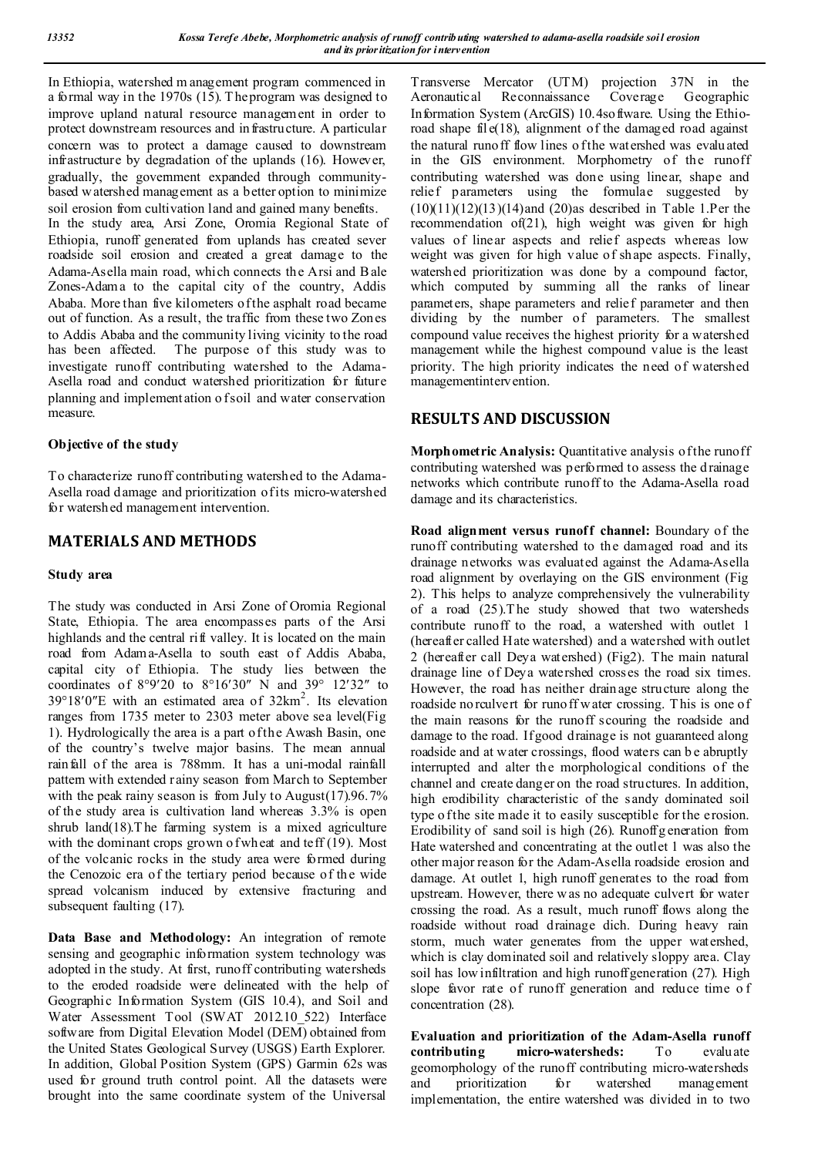In Ethiopia, watershed m anagement program commenced in a formal way in the 1970s (15). T he program was designed to improve upland natural resource management in order to protect downstream resources and infrastructure. A particular concern was to protect a damage caused to downstream infrastructure by degradation of the uplands (16). However, gradually, the government expanded through communitybased w atershed management as a better option to minimize soil erosion from cultivation land and gained many benefits.

In the study area, Arsi Zone, Oromia Regional State of Ethiopia, runoff generated from uplands has created sever roadside soil erosion and created a great damage to the Adama-Asella main road, which connects the Arsi and B ale Zones-Adama to the capital city of the country, Addis Ababa. More than five kilometers of the asphalt road became out of function. As a result, the traffic from these two Zones to Addis Ababa and the community living vicinity to the road has been affected. The purpose of this study was to investigate runoff contributing watershed to the Adama-Asella road and conduct watershed prioritization for future planning and implementation o f soil and water conservation measure.

### **Objective of the study**

To characterize runoff contributing watershed to the Adama-Asella road damage and prioritization of its micro-watershed for watershed management intervention.

## **MATERIALS AND METHODS**

#### **Study area**

The study was conducted in Arsi Zone of Oromia Regional State, Ethiopia. The area encompasses parts of the Arsi highlands and the central rift valley. It is located on the main road from Adama-Asella to south east of Addis Ababa, capital city of Ethiopia. The study lies between the coordinates of  $8^{\circ}9'20$  to  $8^{\circ}16'30''$  N and  $39^{\circ}$  12'32" to  $39^{\circ}18'0''$ E with an estimated area of  $32 \text{km}^2$ . Its elevation ranges from 1735 meter to 2303 meter above sea level(Fig 1). Hydrologically the area is a part of the Awash Basin, one of the country's twelve major basins. The mean annual rainfall of the area is 788mm. It has a uni-modal rainfall pattern with extended rainy season from March to September with the peak rainy season is from July to August(17).96.7% of the study area is cultivation land whereas 3.3% is open shrub land(18). The farming system is a mixed agriculture with the dominant crops grown of wheat and teff (19). Most of the volcanic rocks in the study area were formed during the Cenozoic era of the tertiary period because of the wide spread volcanism induced by extensive fracturing and subsequent faulting (17).

**Data Base and Methodology:** An integration of remote sensing and geographic information system technology was adopted in the study. At first, runoff contributing watersheds to the eroded roadside were delineated with the help of Geographic Information System (GIS 10.4), and Soil and Water Assessment Tool (SWAT 2012.10 522) Interface software from Digital Elevation Model (DEM) obtained from the United States Geological Survey (USGS) Earth Explorer. In addition, Global Position System (GPS) Garmin 62s was used for ground truth control point. All the datasets were brought into the same coordinate system of the Universal

Transverse Mercator (UTM) projection 37N in the Aeronautical Reconnaissance Coverage Geographic Information System (ArcGIS) 10.4software. Using the Ethioroad shape fil e(18), alignment of the damaged road against the natural runoff flow lines o f the watershed was evaluated in the GIS environment. Morphometry of the runoff contributing watershed was done using linear, shape and relief parameters using the formulae suggested by  $(10)(11)(12)(13)(14)$ and  $(20)$ as described in Table 1.Per the recommendation of(21), high weight was given for high values of linear aspects and relief aspects whereas low weight was given for high value of shape aspects. Finally, watershed prioritization was done by a compound factor, which computed by summing all the ranks of linear parameters, shape parameters and relief parameter and then dividing by the number of parameters. The smallest compound value receives the highest priority for a watershed management while the highest compound value is the least priority. The high priority indicates the need of watershed managementintervention.

## **RESULTS AND DISCUSSION**

**Morphometric Analysis:** Quantitative analysis of the runoff contributing watershed was performed to assess the d rainage networks which contribute runoff to the Adama-Asella road damage and its characteristics.

**Road alignment versus runoff channel:** Boundary of the runoff contributing watershed to the damaged road and its drainage networks was evaluated against the Adama-Asella road alignment by overlaying on the GIS environment (Fig 2). This helps to analyze comprehensively the vulnerability of a road (25).T he study showed that two watersheds contribute runoff to the road, a watershed with outlet 1 (hereafter called Hate watershed) and a watershed with outlet 2 (hereafter call Deya watershed) (Fig2). The main natural drainage line of Deya watershed crosses the road six times. However, the road has neither drainage structure along the roadside no rculvert for runoff w ater crossing. T his is one of the main reasons for the runoff scouring the roadside and damage to the road. If good drainage is not guaranteed along roadside and at water crossings, flood waters can b e abruptly interrupted and alter the morphological conditions of the channel and create danger on the road structures. In addition, high erodibility characteristic of the sandy dominated soil type o f the site made it to easily susceptible for the erosion. Erodibility of sand soil is high (26). Runoffg eneration from Hate watershed and concentrating at the outlet 1 was also the other major reason for the Adam-Asella roadside erosion and damage. At outlet 1, high runoff generates to the road from upstream. However, there w as no adequate culvert for water crossing the road. As a result, much runoff flows along the roadside without road drainage dich. During heavy rain storm, much water generates from the upper watershed, which is clay dominated soil and relatively sloppy area. Clay soil has low infiltration and high runoff generation (27). High slope favor rate of runoff generation and reduce time o f concentration (28).

**Evaluation and prioritization of the Adam-Asella runoff contributing micro-watersheds:** To evaluate geomorphology of the runoff contributing micro-watersheds and prioritization for watershed management implementation, the entire watershed was divided in to two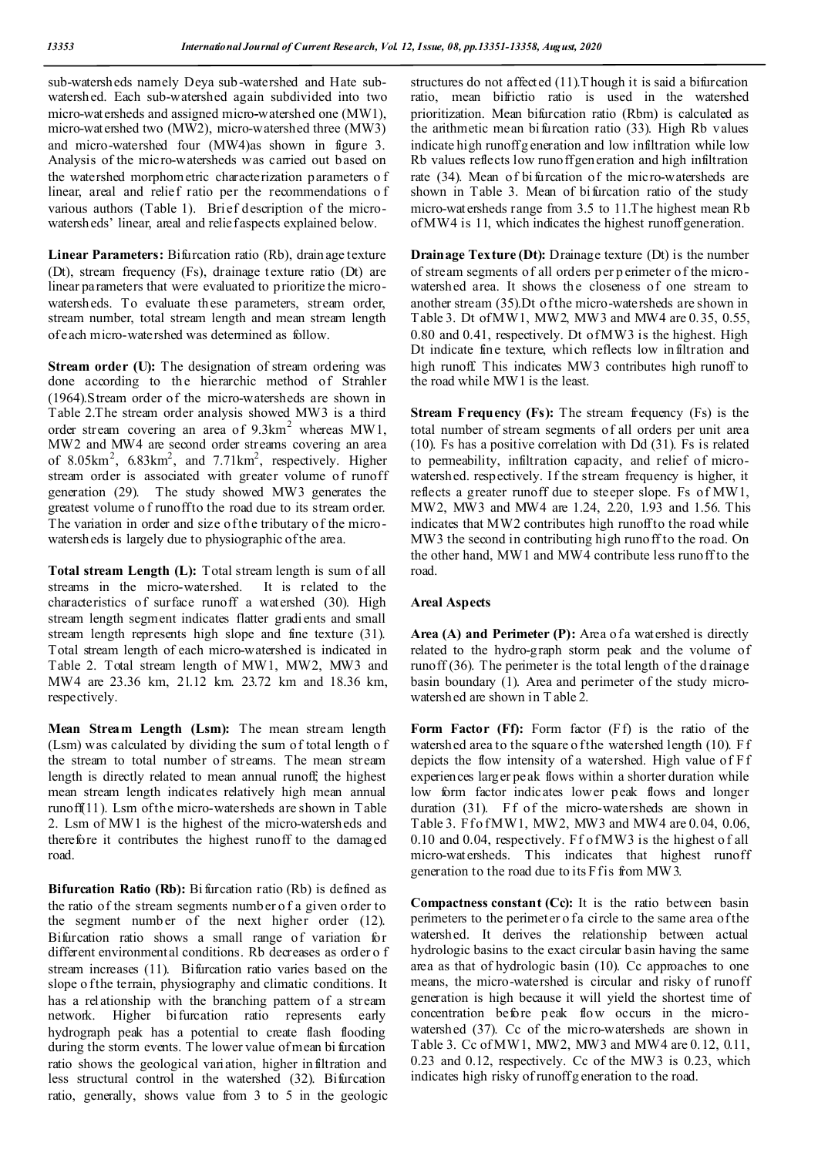sub-watersheds namely Deya sub-watershed and Hate subwatershed. Each sub-watershed again subdivided into two micro-watersheds and assigned micro**-**watershed one (MW1), micro-watershed two (MW2), micro-watershed three (MW3) and micro-watershed four (MW4)as shown in figure 3. Analysis of the micro-watersheds was carried out based on the watershed morphometric characterization parameters o f linear, areal and relief ratio per the recommendations o f various authors (Table 1). Brief description of the microwatersheds' linear, areal and relief aspects explained below.

**Linear Parameters:** Bifurcation ratio (Rb), drainage texture (Dt), stream frequency (Fs), drainage texture ratio (Dt) are linear parameters that were evaluated to prioritize the microwatersheds. To evaluate these parameters, stream order, stream number, total stream length and mean stream length of each micro-watershed was determined as follow.

**Stream order (U):** The designation of stream ordering was done according to the hierarchic method of Strahler (1964).Stream order of the micro-watersheds are shown in Table 2.The stream order analysis showed MW3 is a third order stream covering an area of  $9.3 \text{km}^2$  whereas MW1, MW2 and MW4 are second order streams covering an area of 8.05 $km^2$ , 6.83 $km^2$ , and 7.71 $km^2$ , respectively. Higher stream order is associated with greater volume of runoff generation (29). The study showed MW3 generates the greatest volume of runoff to the road due to its stream order. The variation in order and size of the tributary of the microwatersheds is largely due to physiographic of the area.

**Total stream Length (L):** Total stream length is sum of all streams in the micro-watershed. It is related to the characteristics of surface runoff a watershed (30). High stream length segment indicates flatter gradients and small stream length represents high slope and fine texture (31). Total stream length of each micro-watershed is indicated in Table 2. Total stream length of MW1, MW2, MW3 and MW4 are 23.36 km, 21.12 km. 23.72 km and 18.36 km, respectively.

**Mean Stream Length (Lsm):** The mean stream length (Lsm) was calculated by dividing the sum of total length o f the stream to total number of streams. The mean stream length is directly related to mean annual runoff; the highest mean stream length indicates relatively high mean annual runoff(11). Lsm of the micro-watersheds are shown in Table 2. Lsm of MW1 is the highest of the micro-watersheds and therefore it contributes the highest runoff to the damaged road.

**Bifurcation Ratio (Rb):** Bi furcation ratio (Rb) is defined as the ratio of the stream segments number o f a given order to the segment number of the next higher order (12). Bifurcation ratio shows a small range of variation for different environmental conditions. Rb decreases as order o f stream increases (11). Bifurcation ratio varies based on the slope o f the terrain, physiography and climatic conditions. It has a relationship with the branching pattern of a stream network. Higher bifurcation ratio represents early hydrograph peak has a potential to create flash flooding during the storm events. The lower value of mean bi furcation ratio shows the geological variation, higher infiltration and less structural control in the watershed (32). Bifurcation ratio, generally, shows value from 3 to 5 in the geologic

structures do not affected (11).T hough it is said a bifurcation ratio, mean bifrictio ratio is used in the watershed prioritization. Mean bifurcation ratio (Rbm) is calculated as the arithmetic mean bifurcation ratio (33). High Rb values indicate high runoff g eneration and low infiltration while low Rb values reflects low runoff generation and high infiltration rate (34). Mean of bifurcation of the micro-watersheds are shown in Table 3. Mean of bifurcation ratio of the study micro-watersheds range from 3.5 to 11.The highest mean Rb of MW4 is 11, which indicates the highest runoff generation.

**Drainage Texture (Dt):** Drainage texture (Dt) is the number of stream segments of all orders per p erimeter of the microwatershed area. It shows the closeness of one stream to another stream (35).Dt of the micro-watersheds are shown in Table 3. Dt of MW1, MW2, MW3 and MW4 are 0.35, 0.55, 0.80 and 0.41, respectively. Dt of MW3 is the highest. High Dt indicate fine texture, which reflects low infiltration and high runoff. This indicates MW3 contributes high runoff to the road while MW1 is the least.

**Stream Frequency (Fs):** The stream frequency (Fs) is the total number of stream segments of all orders per unit area (10). Fs has a positive correlation with Dd (31). Fs is related to permeability, infiltration capacity, and relief of microwatershed. respectively. If the stream frequency is higher, it reflects a greater runoff due to steeper slope. Fs of MW1, MW2, MW3 and MW4 are 1.24, 2.20, 1.93 and 1.56. This indicates that MW2 contributes high runoff to the road while MW3 the second in contributing high runoff to the road. On the other hand, MW1 and MW4 contribute less runoff to the road.

#### **Areal Aspects**

Area (A) and Perimeter (P): Area of a watershed is directly related to the hydro-graph storm peak and the volume of runoff (36). The perimeter is the total length of the d rainage basin boundary (1). Area and perimeter of the study microwatershed are shown in T able 2.

**Form Factor (Ff):** Form factor (Ff) is the ratio of the watershed area to the square o f the watershed length (10). F f depicts the flow intensity of a watershed. High value of Ff experiences larger peak flows within a shorter duration while low form factor indicates lower peak flows and longer duration (31). Ff of the micro-watersheds are shown in Table 3. Ff o f MW1, MW2, MW3 and MW4 are 0.04, 0.06, 0.10 and 0.04, respectively. Ff of MW3 is the highest o f all micro-watersheds. This indicates that highest runoff generation to the road due to its Ff is from MW3.

**Compactness constant (Cc):** It is the ratio between basin perimeters to the perimeter o fa circle to the same area of the watershed. It derives the relationship between actual hydrologic basins to the exact circular basin having the same area as that of hydrologic basin (10). Cc approaches to one means, the micro-watershed is circular and risky of runoff generation is high because it will yield the shortest time of concentration before peak flow occurs in the microwatershed (37). Cc of the micro-watersheds are shown in Table 3. Cc of MW1, MW2, MW3 and MW4 are 0.12, 0.11, 0.23 and 0.12, respectively. Cc of the MW3 is 0.23, which indicates high risky of runoff g eneration to the road.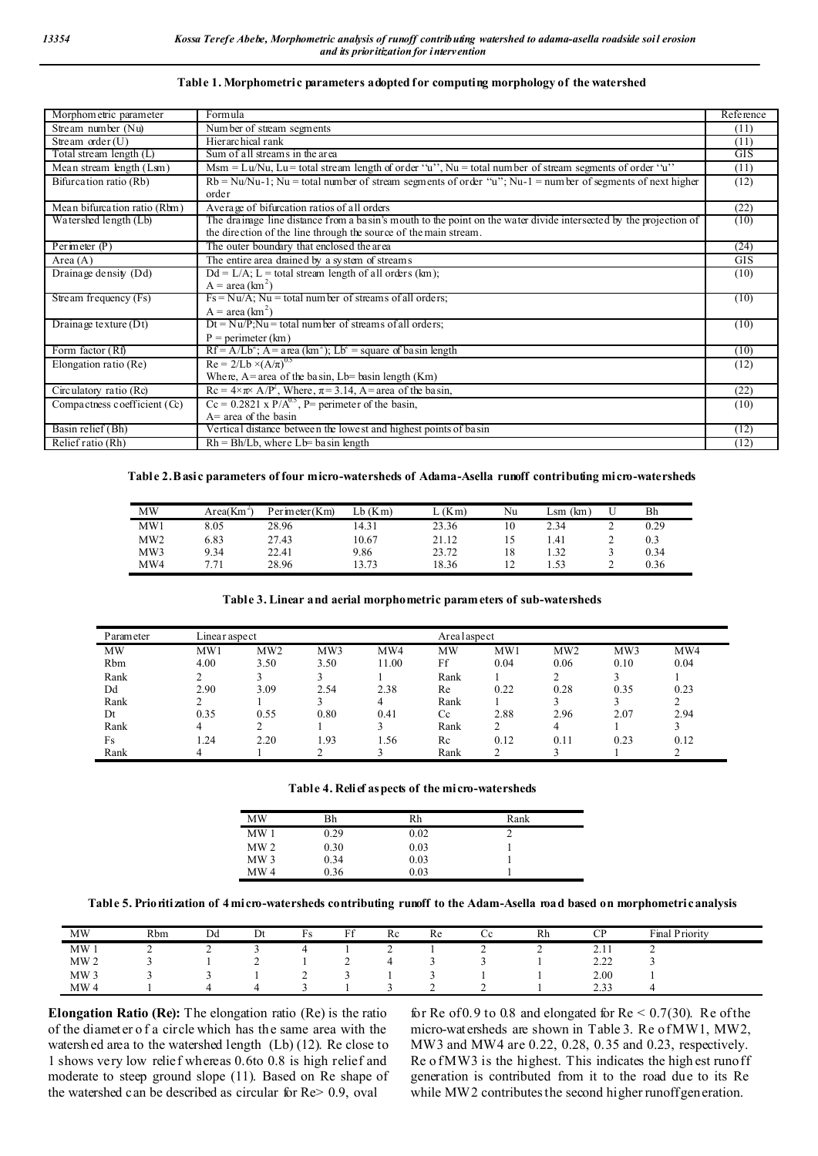| Morphom etric parameter        | Formula                                                                                                           | Reference  |
|--------------------------------|-------------------------------------------------------------------------------------------------------------------|------------|
| Stream number (Nu)             | Number of stream segments                                                                                         | (11)       |
| Stream $order(U)$              | Hierarchical rank                                                                                                 | (11)       |
| Total stream length (L)        | Sum of all streams in the area                                                                                    | GIS        |
| Mean stream length (Lsm)       | Msm = Lu/Nu, Lu = total stream length of order "u", Nu = total number of stream segments of order "u"             | (11)       |
| Bifurcation ratio (Rb)         | $Rb = Nu/Nu-1$ ; Nu = total number of stream segments of order "u"; Nu-1 = number of segments of next higher      | (12)       |
|                                | order                                                                                                             |            |
| Mean bifurcation ratio (Rbm)   | Average of bifurcation ratios of all orders                                                                       | (22)       |
| Watershed length (Lb)          | The drainage line distance from a basin's mouth to the point on the water divide intersected by the projection of | (10)       |
|                                | the direction of the line through the source of the main stream.                                                  |            |
| Perimeter $(P)$                | The outer boundary that enclosed the area                                                                         | (24)       |
| Area $(A)$                     | The entire area drained by a system of streams                                                                    | <b>GIS</b> |
| Drainage density (Dd)          | $Dd = L/A$ ; L = total stream length of all orders (km);                                                          | (10)       |
|                                | $A = \text{area (km}^2)$                                                                                          |            |
| Stream frequency (Fs)          | $Fs = Nu/A$ ; Nu = total number of streams of all orders;                                                         | (10)       |
|                                | $A = \text{area (km}^2)$                                                                                          |            |
| Drainage texture $(Dt)$        | $Dt = Nu/P; Nu = total number of streams of all orders;$                                                          | (10)       |
|                                | $P =$ perimeter (km)                                                                                              |            |
| Form factor (Rf)               | $Rf = A/Lb^2$ ; A = a rea (km <sup>2</sup> ); Lb <sup>2</sup> = square of basin length                            | (10)       |
| Elongation ratio (Re)          | $Re = 2/Lb \times (A/\pi)^{0.5}$                                                                                  | (12)       |
|                                | Where, $A = area$ of the basin, $Lb = b$ asin length (Km)                                                         |            |
| Circulatory ratio (Rc)         | $\text{Rc} = 4 \times \pi \times A/P^2$ , Where, $\pi = 3.14$ , A= area of the basin,                             | (22)       |
| Compactness coefficient $(Cc)$ | $Cc = 0.2821$ x $P/A^{0.5}$ , P= perimeter of the basin,                                                          | (10)       |
|                                | $A=$ area of the basin                                                                                            |            |
| Basin relief (Bh)              | Vertical distance between the lowest and highest points of basin                                                  | (12)       |
| Relief ratio (Rh)              | $Rh = Bh/Lb$ , where $Lb = ba \sin \theta$                                                                        | (12)       |

#### **Table 1. Morphometric parameters adopted for computing morphology of the watershed**

#### **Table 2. Basic parameters of four micro-watersheds of Adama-Asella runoff contributing micro-watersheds**

| MW              | Area(Km | Perimeter(Km) | $Lb$ ( $Km$ ) | (Km)  | Nu  | Lsm<br>(km |   | Bh   |
|-----------------|---------|---------------|---------------|-------|-----|------------|---|------|
| MW1             | 8.05    | 28.96         | 14.31         | 23.36 |     | 2.34       | ∸ | 0.29 |
| MW <sub>2</sub> | 6.83    | 27.43         | 10.67         | 21.12 |     | 1.41       |   | 0.3  |
| MW3             | 9.34    | 22.41         | 9.86          | 23.72 | 18  | 1.32       |   | 0.34 |
| MW4             | 7.71    | 28.96         | 13.73         | 18.36 | . . | 1.53       | - | 0.36 |

**Table 3. Linear and aerial morphometric parameters of sub-watersheds**

| Parameter | Linear aspect |      |      |       |      | Arealaspect |      |      |      |  |  |
|-----------|---------------|------|------|-------|------|-------------|------|------|------|--|--|
| <b>MW</b> | MW1           | MW2  | MW3  | MW4   | MW   | MW1         | MW2  | MW3  | MW4  |  |  |
| Rbm       | 4.00          | 3.50 | 3.50 | 11.00 | Ff   | 0.04        | 0.06 | 0.10 | 0.04 |  |  |
| Rank      |               |      |      |       | Rank |             |      |      |      |  |  |
| Dd        | 2.90          | 3.09 | 2.54 | 2.38  | Re   | 0.22        | 0.28 | 0.35 | 0.23 |  |  |
| Rank      | ◠             |      |      | 4     | Rank |             |      |      |      |  |  |
| Dt        | 0.35          | 0.55 | 0.80 | 0.41  | Cc   | 2.88        | 2.96 | 2.07 | 2.94 |  |  |
| Rank      | 4             |      |      |       | Rank |             | 4    |      |      |  |  |
| Fs        | 1.24          | 2.20 | 1.93 | 1.56  | Re   | 0.12        | 0.11 | 0.23 | 0.12 |  |  |
| Rank      |               |      |      |       | Rank |             |      |      |      |  |  |

**Table 4. Relief aspects of the micro-watersheds**

| MW              | Bh   | Rh   | Rank |  |
|-----------------|------|------|------|--|
| MW <sub>1</sub> | 0.29 | 0.02 |      |  |
| MW <sub>2</sub> | 0.30 | 0.03 |      |  |
| MW <sub>3</sub> | 0.34 | 0.03 |      |  |
| MW <sub>4</sub> | 0.36 | 0.03 |      |  |

**Table 5. Prioritization of 4 micro-watersheds contributing runoff to the Adam-Asella road based on morphometric analysis**

| MW              | Rbm | $_{\rm Dd}$ | Dt | T.<br>Fs | $\mathbf{r}$<br>L +<br>. .    | Re       | Re                            | Cc | Rh       | $\rm CP$     | Final Priority |  |
|-----------------|-----|-------------|----|----------|-------------------------------|----------|-------------------------------|----|----------|--------------|----------------|--|
| MW1             | ∸   | <b>_</b>    |    |          |                               | <b>_</b> |                               | ∼  | <b>_</b> | 2.11         | ∸              |  |
| MW <sub>2</sub> |     |             | -  |          | $\overline{\phantom{a}}$<br>~ |          |                               |    |          | 222<br>ے ۔۔۔ |                |  |
| MW <sub>3</sub> |     |             |    |          |                               |          |                               |    |          | 2.00         |                |  |
| MW <sub>4</sub> |     |             |    |          |                               |          | $\overline{\phantom{a}}$<br>- | ∼  |          | 2.33         |                |  |

**Elongation Ratio (Re):** The elongation ratio (Re) is the ratio of the diameter o f a circle which has the same area with the watershed area to the watershed length (Lb) (12). Re close to 1 shows very low relief whereas 0.6to 0.8 is high relief and moderate to steep ground slope (11). Based on Re shape of the watershed can be described as circular for Re> 0.9, oval

for Re of  $0.9$  to  $0.8$  and elongated for Re  $\leq 0.7(30)$ . Re of the micro-watersheds are shown in Table 3. Re of MW1, MW2, MW3 and MW4 are 0.22, 0.28, 0.35 and 0.23, respectively. Re o f MW3 is the highest. This indicates the high est runoff generation is contributed from it to the road due to its Re while MW2 contributes the second higher runoff generation.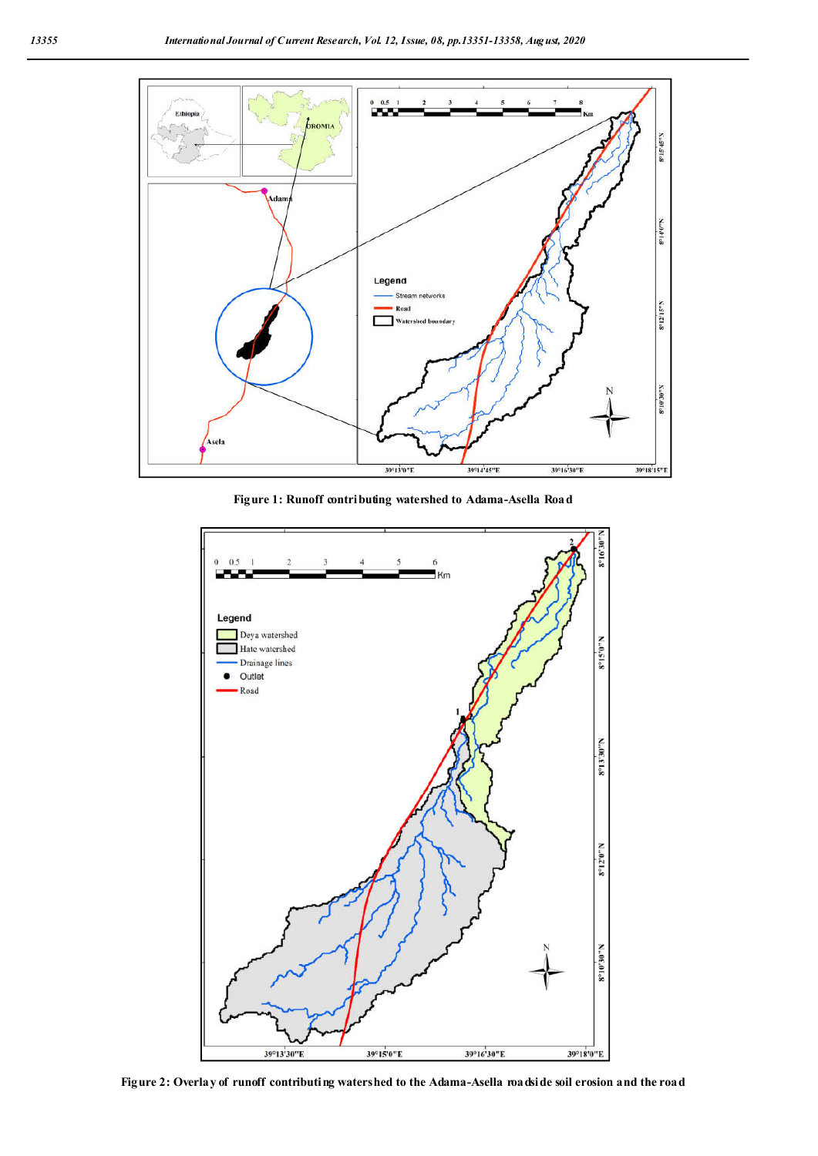

**Figure 1: Runoff contributing watershed to Adama-Asella Road**



**Figure 2: Overlay of runoff contributing watershed to the Adama-Asella roadside soil erosion and the road**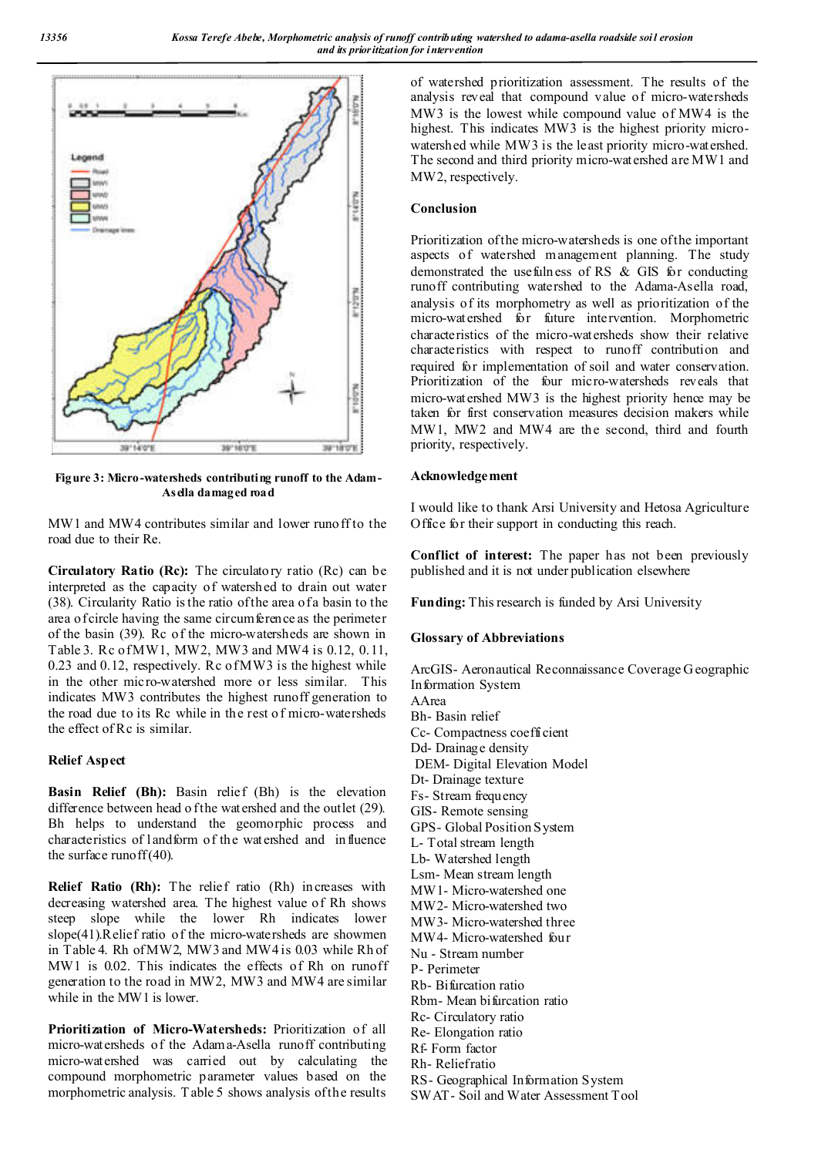

**Figure 3: Micro-watersheds contributing runoff to the Adam-Asella damaged road**

MW<sub>1</sub> and MW<sub>4</sub> contributes similar and lower runoff to the road due to their Re.

**Circulatory Ratio (Rc):** The circulatory ratio (Rc) can be interpreted as the capacity of watershed to drain out water (38). Circularity Ratio is the ratio of the area of a basin to the area of circle having the same circumference as the perimeter of the basin (39). Rc of the micro-watersheds are shown in Table 3. Rc of MW1, MW2, MW3 and MW4 is 0.12, 0.11, 0.23 and 0.12, respectively. Rc of MW3 is the highest while in the other micro-watershed more or less similar. This indicates MW3 contributes the highest runoff generation to the road due to its Rc while in the rest o f micro-watersheds the effect of Rc is similar.

#### **Relief Aspect**

**Basin Relief (Bh):** Basin relief (Bh) is the elevation difference between head o f the watershed and the outlet (29). Bh helps to understand the geomorphic process and characteristics of landform of the watershed and influence the surface runoff  $(40)$ .

**Relief Ratio (Rh):** The relief ratio (Rh) increases with decreasing watershed area. The highest value of Rh shows steep slope while the lower Rh indicates lower slope(41).Relief ratio of the micro-watersheds are showmen in Table 4. Rh of MW2, MW3 and MW4 is 0.03 while Rh of MW1 is 0.02. This indicates the effects of Rh on runoff generation to the road in MW2, MW3 and MW4 are similar while in the MW1 is lower.

**Prioritization of Micro-Watersheds:** Prioritization of all micro-watersheds of the Adama-Asella runoff contributing micro-watershed was carried out by calculating the compound morphometric parameter values based on the morphometric analysis. T able 5 shows analysis of the results

of watershed prioritization assessment. The results of the analysis reveal that compound value of micro-watersheds MW3 is the lowest while compound value of MW4 is the highest. This indicates MW3 is the highest priority microwatershed while MW3 is the least priority micro-watershed. The second and third priority micro-watershed are MW1 and MW2, respectively.

### **Conclusion**

Prioritization of the micro-watersheds is one of the important aspects of watershed management planning. The study demonstrated the usefulness of RS & GIS for conducting runoff contributing watershed to the Adama-Asella road, analysis of its morphometry as well as prioritization of the micro-watershed for future intervention. Morphometric characteristics of the micro-watersheds show their relative characteristics with respect to runoff contribution and required for implementation of soil and water conservation. Prioritization of the four micro-watersheds reveals that micro-watershed MW3 is the highest priority hence may be taken for first conservation measures decision makers while MW1, MW2 and MW4 are the second, third and fourth priority, respectively.

### **Acknowledgement**

I would like to thank Arsi University and Hetosa Agriculture Office for their support in conducting this reach.

**Conflict of interest:** The paper has not been previously published and it is not under publication elsewhere

**Funding:** This research is funded by Arsi University

#### **Glossary of Abbreviations**

ArcGIS- Aeronautical Reconnaissance Coverage G eographic Information System AArea Bh- Basin relief Cc- Compactness coefficient Dd- Drainage density DEM- Digital Elevation Model Dt- Drainage texture Fs- Stream frequency GIS- Remote sensing GPS- Global Position System L- Total stream length Lb- Watershed length Lsm- Mean stream length MW1- Micro-watershed one MW2- Micro-watershed two MW3- Micro-watershed three MW4- Micro-watershed four Nu - Stream number P- Perimeter Rb- Bifurcation ratio Rbm- Mean bifurcation ratio Rc- Circulatory ratio Re- Elongation ratio Rf- Form factor Rh- Relief ratio RS- Geographical Information System

SWAT- Soil and Water Assessment Tool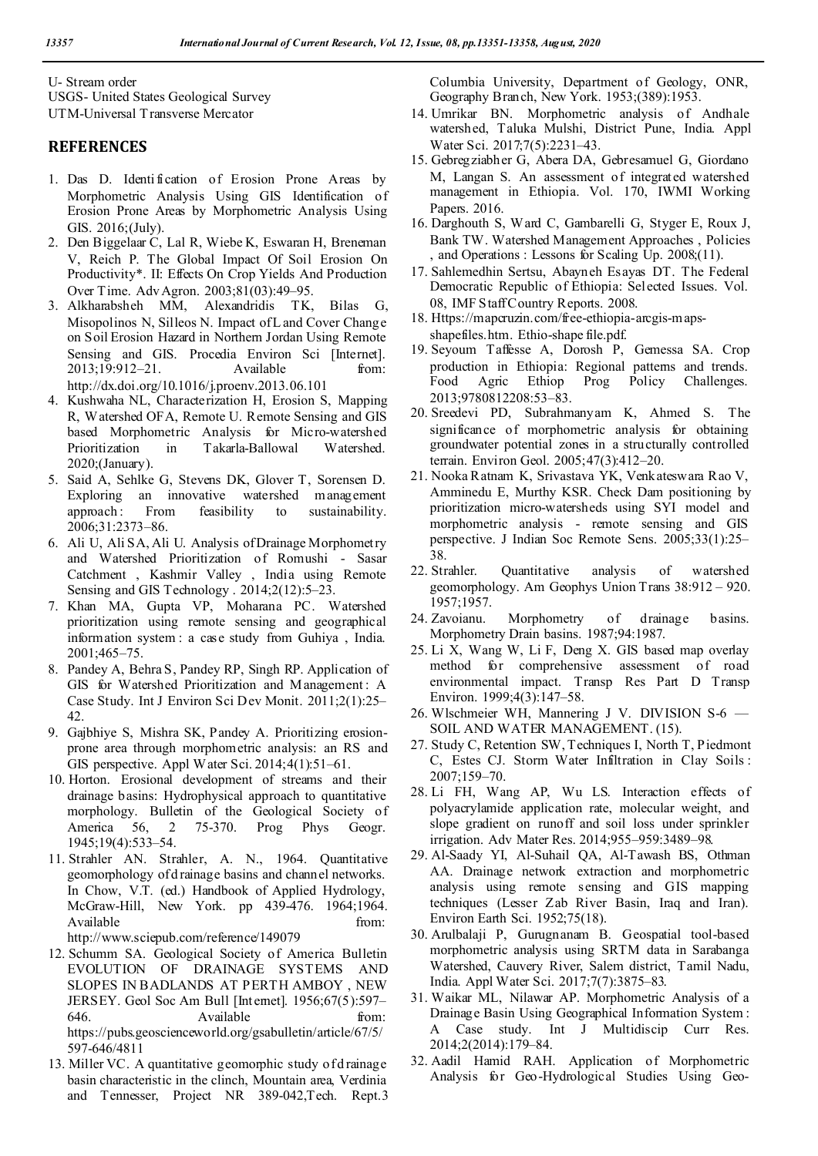U- Stream order USGS- United States Geological Survey UTM-Universal T ransverse Mercator

## **REFERENCES**

- 1. Das D. Identi fication of Erosion Prone Areas by Morphometric Analysis Using GIS Identification of Erosion Prone Areas by Morphometric Analysis Using GIS. 2016;(July).
- 2. Den Biggelaar C, Lal R, Wiebe K, Eswaran H, Breneman V, Reich P. The Global Impact Of Soil Erosion On Productivity\*. II: Effects On Crop Yields And Production Over Time. Adv Agron. 2003;81(03):49–95.
- 3. Alkharabsheh MM, Alexandridis TK, Bilas G, Misopolinos N, Silleos N. Impact of L and Cover Change on Soil Erosion Hazard in Northern Jordan Using Remote Sensing and GIS. Procedia Environ Sci [Internet]. 2013;19:912–21. Available from: http://dx.doi.org/10.1016/j.proenv.2013.06.101
- 4. Kushwaha NL, Characterization H, Erosion S, Mapping R, Watershed OFA, Remote U. Remote Sensing and GIS based Morphometric Analysis for Micro-watershed Prioritization in Takarla-Ballowal Watershed. 2020;(January).
- 5. Said A, Sehlke G, Stevens DK, Glover T, Sorensen D. Exploring an innovative watershed management approach : From feasibility to sustainability. 2006;31:2373–86.
- 6. Ali U, Ali SA, Ali U. Analysis of Drainage Morphometry and Watershed Prioritization of Romushi - Sasar Catchment , Kashmir Valley , India using Remote Sensing and GIS Technology . 2014;2(12):5–23.
- 7. Khan MA, Gupta VP, Moharana PC. Watershed prioritization using remote sensing and geographical information system : a case study from Guhiya , India. 2001;465–75.
- 8. Pandey A, Behra S, Pandey RP, Singh RP. Application of GIS for Watershed Prioritization and Management: A Case Study. Int J Environ Sci Dev Monit. 2011;2(1):25– 42.
- 9. Gajbhiye S, Mishra SK, Pandey A. Prioritizing erosionprone area through morphometric analysis: an RS and GIS perspective. Appl Water Sci. 2014;4(1):51–61.
- 10. Horton. Erosional development of streams and their drainage basins: Hydrophysical approach to quantitative morphology. Bulletin of the Geological Society of America 56, 2 75-370. Prog Phys Geogr. 1945;19(4):533–54.
- 11. Strahler AN. Strahler, A. N., 1964. Quantitative geomorphology of d rainage basins and channel networks. In Chow, V.T. (ed.) Handbook of Applied Hydrology, McGraw-Hill, New York. pp 439-476. 1964;1964. Available from:

http://www.sciepub.com/reference/149079

- 12. Schumm SA. Geological Society of America Bulletin EVOLUTION OF DRAINAGE SYSTEMS AND SLOPES IN BADLANDS AT PERTH AMBOY , NEW JERSEY. Geol Soc Am Bull [Internet]. 1956;67(5):597– 646. Available from: https://pubs.geoscienceworld.org/gsabulletin/article/67/5/ 597-646/4811
- 13. Miller VC. A quantitative geomorphic study of d rainage basin characteristic in the clinch, Mountain area, Verdinia and Tennesser, Project NR 389-042,Tech. Rept.3

Columbia University, Department of Geology, ONR, Geography Branch, New York. 1953;(389):1953.

- 14. Umrikar BN. Morphometric analysis of Andhale watershed, Taluka Mulshi, District Pune, India. Appl Water Sci. 2017;7(5):2231–43.
- 15. Gebregziabher G, Abera DA, Gebresamuel G, Giordano M, Langan S. An assessment of integrated watershed management in Ethiopia. Vol. 170, IWMI Working Papers. 2016.
- 16. Darghouth S, Ward C, Gambarelli G, Styger E, Roux J, Bank TW. Watershed Management Approaches , Policies , and Operations : Lessons for Scaling Up. 2008;(11).
- 17. Sahlemedhin Sertsu, Abayneh Esayas DT. The Federal Democratic Republic of Ethiopia: Selected Issues. Vol. 08, IMF Staff Country Reports. 2008.
- 18. Https://mapcruzin.com/free-ethiopia-arcgis-mapsshapefiles.htm. Ethio-shape file.pdf.
- 19. Seyoum Taffesse A, Dorosh P, Gemessa SA. Crop production in Ethiopia: Regional patterns and trends.<br>Food Agric Ethiop Prog Policy Challenges. Food Agric Ethiop Prog Policy Challenges. 2013;9780812208:53–83.
- 20. Sreedevi PD, Subrahmanyam K, Ahmed S. The significance of morphometric analysis for obtaining groundwater potential zones in a structurally controlled terrain. Environ Geol. 2005;47(3):412–20.
- 21. Nooka Ratnam K, Srivastava YK, Venkateswara Rao V, Amminedu E, Murthy KSR. Check Dam positioning by prioritization micro-watersheds using SYI model and morphometric analysis - remote sensing and GIS perspective. J Indian Soc Remote Sens. 2005;33(1):25– 38.
- 22. Strahler. Quantitative analysis of watershed geomorphology. Am Geophys Union Trans 38:912 – 920. 1957;1957.
- 24. Zavoianu. Morphometry of drainage basins. Morphometry Drain basins. 1987;94:1987.
- 25. Li X, Wang W, Li F, Deng X. GIS based map overlay method for comprehensive assessment of road environmental impact. Transp Res Part D Transp Environ. 1999;4(3):147–58.
- 26. Wlschmeier WH, Mannering J V. DIVISION S-6 SOIL AND WATER MANAGEMENT. (15).
- 27. Study C, Retention SW, Techniques I, North T, Piedmont C, Estes CJ. Storm Water Infiltration in Clay Soils : 2007;159–70.
- 28. Li FH, Wang AP, Wu LS. Interaction effects of polyacrylamide application rate, molecular weight, and slope gradient on runoff and soil loss under sprinkler irrigation. Adv Mater Res. 2014;955–959:3489–98.
- 29. Al-Saady YI, Al-Suhail QA, Al-Tawash BS, Othman AA. Drainage network extraction and morphometric analysis using remote sensing and GIS mapping techniques (Lesser Zab River Basin, Iraq and Iran). Environ Earth Sci. 1952;75(18).
- 30. Arulbalaji P, Gurugnanam B. Geospatial tool-based morphometric analysis using SRTM data in Sarabanga Watershed, Cauvery River, Salem district, Tamil Nadu, India. Appl Water Sci. 2017;7(7):3875–83.
- 31. Waikar ML, Nilawar AP. Morphometric Analysis of a Drainage Basin Using Geographical Information System : A Case study. Int J Multidiscip Curr Res. 2014;2(2014):179–84.
- 32. Aadil Hamid RAH. Application of Morphometric Analysis for Geo-Hydrological Studies Using Geo-